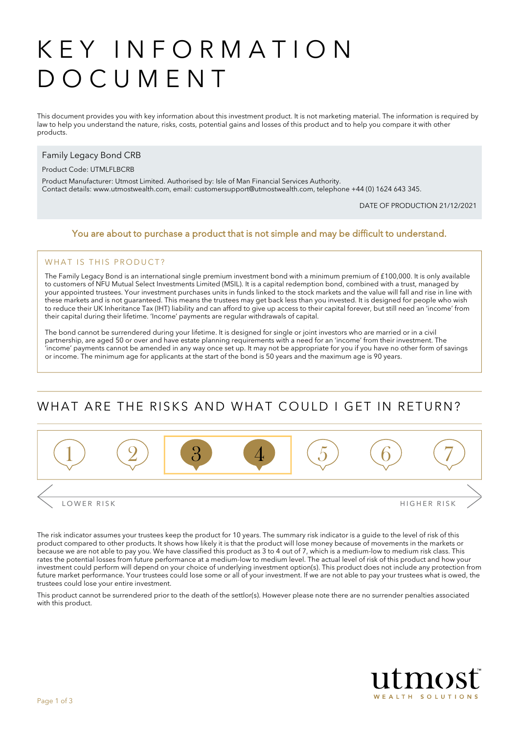# KEY INFORMATION DOCUMENT

This document provides you with key information about this investment product. It is not marketing material. The information is required by law to help you understand the nature, risks, costs, potential gains and losses of this product and to help you compare it with other products.

#### Family Legacy Bond CRB

#### Product Code: UTMLFLBCRB

Product Manufacturer: Utmost Limited. Authorised by: Isle of Man Financial Services Authority. Contact details: [www.utmostwealth.com,](www.utmostinternational.com) email: customersupport@utmostwealth.com, telephone +44 (0) 1624 643 345.

DATE OF PRODUCTION 21/12/2021

#### You are about to purchase a product that is not simple and may be difficult to understand.

#### WHAT IS THIS PRODUCT?

The Family Legacy Bond is an international single premium investment bond with a minimum premium of £100,000. It is only available to customers of NFU Mutual Select Investments Limited (MSIL). It is a capital redemption bond, combined with a trust, managed by your appointed trustees. Your investment purchases units in funds linked to the stock markets and the value will fall and rise in line with these markets and is not guaranteed. This means the trustees may get back less than you invested. It is designed for people who wish to reduce their UK Inheritance Tax (IHT) liability and can afford to give up access to their capital forever, but still need an 'income' from their capital during their lifetime. 'Income' payments are regular withdrawals of capital.

The bond cannot be surrendered during your lifetime. It is designed for single or joint investors who are married or in a civil partnership, are aged 50 or over and have estate planning requirements with a need for an 'income' from their investment. The 'income' payments cannot be amended in any way once set up. It may not be appropriate for you if you have no other form of savings or income. The minimum age for applicants at the start of the bond is 50 years and the maximum age is 90 years.

### WHAT ARE THE RISKS AND WHAT COULD LGET IN RETURN?



The risk indicator assumes your trustees keep the product for 10 years. The summary risk indicator is a guide to the level of risk of this product compared to other products. It shows how likely it is that the product will lose money because of movements in the markets or because we are not able to pay you. We have classified this product as 3 to 4 out of 7, which is a medium-low to medium risk class. This rates the potential losses from future performance at a medium-low to medium level. The actual level of risk of this product and how your investment could perform will depend on your choice of underlying investment option(s). This product does not include any protection from future market performance. Your trustees could lose some or all of your investment. If we are not able to pay your trustees what is owed, the trustees could lose your entire investment.

This product cannot be surrendered prior to the death of the settlor(s). However please note there are no surrender penalties associated with this product.

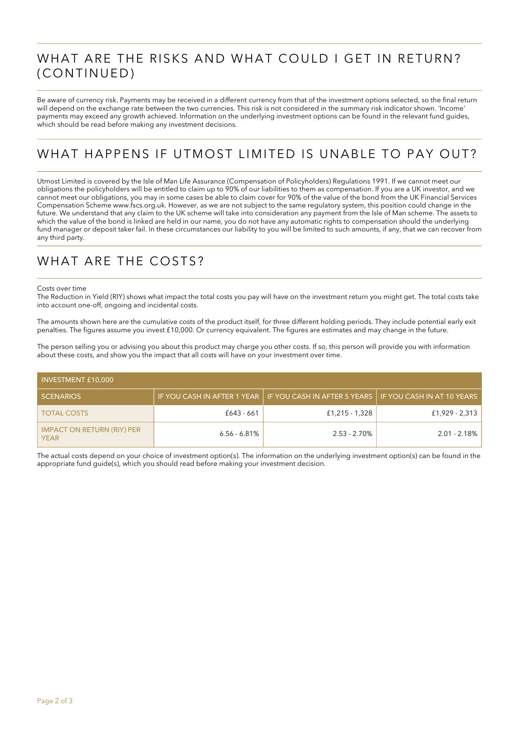## WHAT ARE THE RISKS AND WHAT COULD I GET IN RETURN? (CONTINUED)

Be aware of currency risk. Payments may be received in a different currency from that of the investment options selected, so the final return will depend on the exchange rate between the two currencies. This risk is not considered in the summary risk indicator shown. 'Income' payments may exceed any growth achieved. Information on the underlying investment options can be found in the relevant fund guides, which should be read before making any investment decisions.

# WHAT HAPPENS IF UTMOST LIMITED IS UNABLE TO PAY OUT?

Utmost Limited is covered by the Isle of Man Life Assurance (Compensation of Policyholders) Regulations 1991. If we cannot meet our obligations the policyholders will be entitled to claim up to 90% of our liabilities to them as compensation. If you are a UK investor, and we cannot meet our obligations, you may in some cases be able to claim cover for 90% of the value of the bond from the UK Financial Services Compensation Scheme www.fscs.org.uk. However, as we are not subject to the same regulatory system, this position could change in the future. We understand that any claim to the UK scheme will take into consideration any payment from the Isle of Man scheme. The assets to which the value of the bond is linked are held in our name, you do not have any automatic rights to compensation should the underlying fund manager or deposit taker fail. In these circumstances our liability to you will be limited to such amounts, if any, that we can recover from any third party.

## WHAT ARE THE COSTS?

#### Costs over time

The Reduction in Yield (RIY) shows what impact the total costs you pay will have on the investment return you might get. The total costs take into account one-off, ongoing and incidental costs.

The amounts shown here are the cumulative costs of the product itself, for three different holding periods. They include potential early exit penalties. The figures assume you invest £10,000. Or currency equivalent. The figures are estimates and may change in the future.

The person selling you or advising you about this product may charge you other costs. If so, this person will provide you with information about these costs, and show you the impact that all costs will have on your investment over time.

| <b>INVESTMENT £10,000</b>                        |                 |                                                                                         |                 |  |
|--------------------------------------------------|-----------------|-----------------------------------------------------------------------------------------|-----------------|--|
| <b>SCENARIOS</b>                                 |                 | IF YOU CASH IN AFTER 1 YEAR   IF YOU CASH IN AFTER 5 YEARS   IF YOU CASH IN AT 10 YEARS |                 |  |
| <b>TOTAL COSTS</b>                               | £643 - 661      | £1,215 - 1,328                                                                          | £1,929 - 2,313  |  |
| <b>IMPACT ON RETURN (RIY) PER</b><br><b>YEAR</b> | $6.56 - 6.81\%$ | $2.53 - 2.70\%$                                                                         | $2.01 - 2.18\%$ |  |

The actual costs depend on your choice of investment option(s). The information on the underlying investment option(s) can be found in the appropriate fund guide(s), which you should read before making your investment decision.